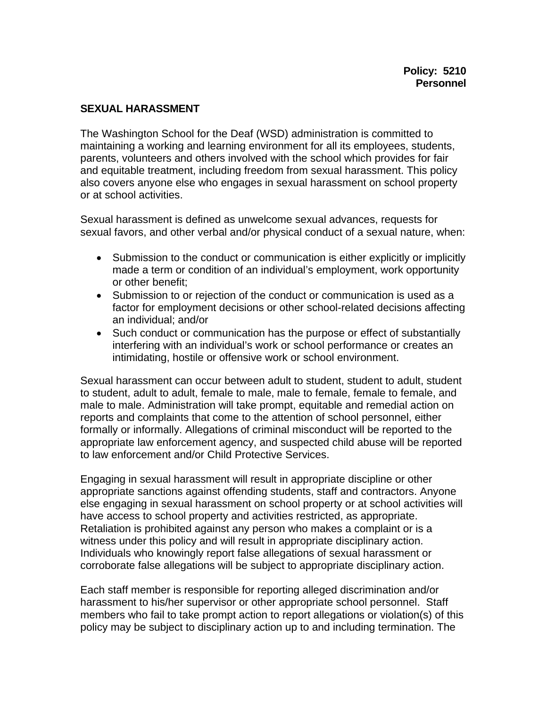## **SEXUAL HARASSMENT**

The Washington School for the Deaf (WSD) administration is committed to maintaining a working and learning environment for all its employees, students, parents, volunteers and others involved with the school which provides for fair and equitable treatment, including freedom from sexual harassment. This policy also covers anyone else who engages in sexual harassment on school property or at school activities.

Sexual harassment is defined as unwelcome sexual advances, requests for sexual favors, and other verbal and/or physical conduct of a sexual nature, when:

- Submission to the conduct or communication is either explicitly or implicitly made a term or condition of an individual's employment, work opportunity or other benefit;
- Submission to or rejection of the conduct or communication is used as a factor for employment decisions or other school-related decisions affecting an individual; and/or
- Such conduct or communication has the purpose or effect of substantially interfering with an individual's work or school performance or creates an intimidating, hostile or offensive work or school environment.

Sexual harassment can occur between adult to student, student to adult, student to student, adult to adult, female to male, male to female, female to female, and male to male. Administration will take prompt, equitable and remedial action on reports and complaints that come to the attention of school personnel, either formally or informally. Allegations of criminal misconduct will be reported to the appropriate law enforcement agency, and suspected child abuse will be reported to law enforcement and/or Child Protective Services.

Engaging in sexual harassment will result in appropriate discipline or other appropriate sanctions against offending students, staff and contractors. Anyone else engaging in sexual harassment on school property or at school activities will have access to school property and activities restricted, as appropriate. Retaliation is prohibited against any person who makes a complaint or is a witness under this policy and will result in appropriate disciplinary action. Individuals who knowingly report false allegations of sexual harassment or corroborate false allegations will be subject to appropriate disciplinary action.

Each staff member is responsible for reporting alleged discrimination and/or harassment to his/her supervisor or other appropriate school personnel. Staff members who fail to take prompt action to report allegations or violation(s) of this policy may be subject to disciplinary action up to and including termination. The